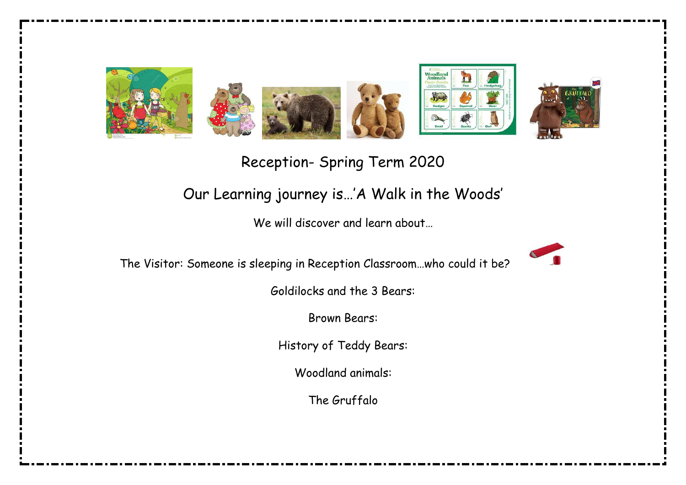

Reception- Spring Term 2020

## Our Learning journey is…'A Walk in the Woods'

We will discover and learn about…

The Visitor: Someone is sleeping in Reception Classroom…who could it be?



Goldilocks and the 3 Bears:

Brown Bears:

History of Teddy Bears:

Woodland animals:

The Gruffalo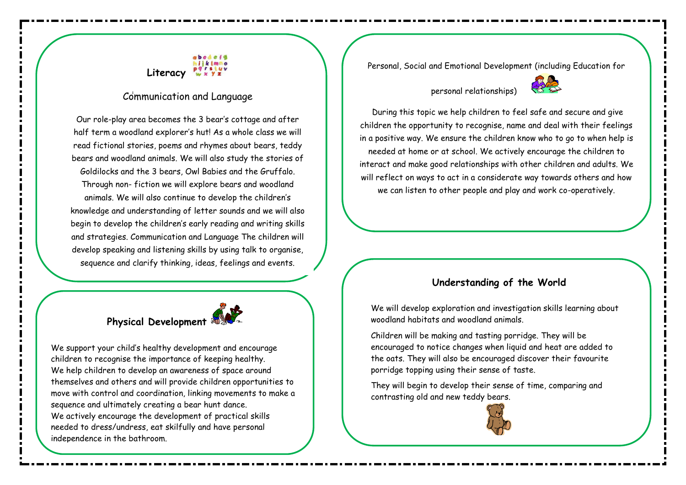# **Literacy**

### Communication and Language

Our role-play area becomes the 3 bear's cottage and after half term a woodland explorer's hut! As a whole class we will read fictional stories, poems and rhymes about bears, teddy bears and woodland animals. We will also study the stories of Goldilocks and the 3 bears, Owl Babies and the Gruffalo. Through non- fiction we will explore bears and woodland animals. We will also continue to develop the children's knowledge and understanding of letter sounds and we will also begin to develop the children's early reading and writing skills and strategies. Communication and Language The children will develop speaking and listening skills by using talk to organise, sequence and clarify thinking, ideas, feelings and events.



We support your child's healthy development and encourage children to recognise the importance of keeping healthy. We help children to develop an awareness of space around themselves and others and will provide children opportunities to move with control and coordination, linking movements to make a sequence and ultimately creating a bear hunt dance. We actively encourage the development of practical skills needed to dress/undress, eat skilfully and have personal independence in the bathroom.

Personal, Social and Emotional Development (including Education for

### personal relationships)



 During this topic we help children to feel safe and secure and give children the opportunity to recognise, name and deal with their feelings in a positive way. We ensure the children know who to go to when help is needed at home or at school. We actively encourage the children to interact and make good relationships with other children and adults. We will reflect on ways to act in a considerate way towards others and how we can listen to other people and play and work co-operatively.

### **Understanding of the World**

We will develop exploration and investigation skills learning about woodland habitats and woodland animals.

Children will be making and tasting porridge. They will be encouraged to notice changes when liquid and heat are added to the oats. They will also be encouraged discover their favourite porridge topping using their sense of taste.

They will begin to develop their sense of time, comparing and contrasting old and new teddy bears.

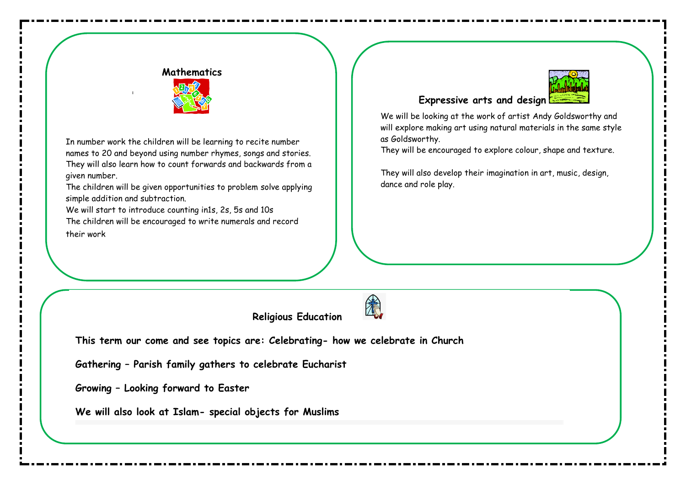### **Mathematics**



In number work the children will be learning to recite number names to 20 and beyond using number rhymes, songs and stories. They will also learn how to count forwards and backwards from a given number.

The children will be given opportunities to problem solve applying simple addition and subtraction.

We will start to introduce counting in1s, 2s, 5s and 10s The children will be encouraged to write numerals and record their work

### **Expressive arts and design**

We will be looking at the work of artist Andy Goldsworthy and will explore making art using natural materials in the same style as Goldsworthy.

They will be encouraged to explore colour, shape and texture.

They will also develop their imagination in art, music, design, dance and role play.

**Religious Education** 



**This term our come and see topics are: Celebrating- how we celebrate in Church** 

**Gathering – Parish family gathers to celebrate Eucharist** 

**Growing – Looking forward to Easter** 

**We will also look at Islam- special objects for Muslims**